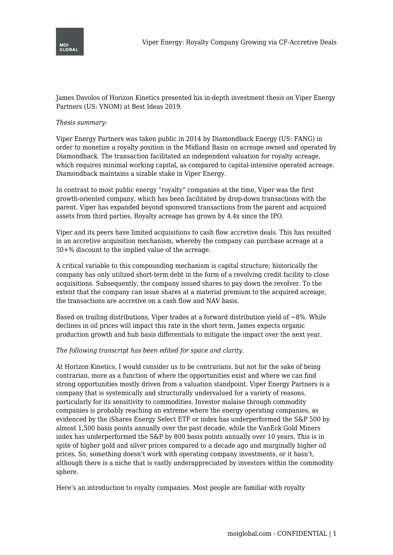

James Davolos of Horizon Kinetics presented his in-depth investment thesis on Viper Energy Partners (US: VNOM) at Best Ideas 2019.

## *Thesis summary:*

Viper Energy Partners was taken public in 2014 by Diamondback Energy (US: FANG) in order to monetize a royalty position in the Midland Basin on acreage owned and operated by Diamondback. The transaction facilitated an independent valuation for royalty acreage, which requires minimal working capital, as compared to capital-intensive operated acreage. Diamondback maintains a sizable stake in Viper Energy.

In contrast to most public energy "royalty" companies at the time, Viper was the first growth-oriented company, which has been facilitated by drop-down transactions with the parent. Viper has expanded beyond sponsored transactions from the parent and acquired assets from third parties. Royalty acreage has grown by 4.4x since the IPO.

Viper and its peers have limited acquisitions to cash flow accretive deals. This has resulted in an accretive acquisition mechanism, whereby the company can purchase acreage at a 50+% discount to the implied value of the acreage.

A critical variable to this compounding mechanism is capital structure; historically the company has only utilized short-term debt in the form of a revolving credit facility to close acquisitions. Subsequently, the company issued shares to pay down the revolver. To the extent that the company can issue shares at a material premium to the acquired acreage, the transactions are accretive on a cash flow and NAV basis.

Based on trailing distributions, Viper trades at a forward distribution yield of  $\sim$ 8%. While declines in oil prices will impact this rate in the short term, James expects organic production growth and hub basis differentials to mitigate the impact over the next year.

## *The following transcript has been edited for space and clarity.*

At Horizon Kinetics, I would consider us to be contrarians, but not for the sake of being contrarian, more as a function of where the opportunities exist and where we can find strong opportunities mostly driven from a valuation standpoint. Viper Energy Partners is a company that is systemically and structurally undervalued for a variety of reasons, particularly for its sensitivity to commodities. Investor malaise through commodity companies is probably reaching an extreme where the energy operating companies, as evidenced by the iShares Energy Select ETF or index has underperformed the S&P 500 by almost 1,500 basis points annually over the past decade, while the VanEck Gold Miners index has underperformed the S&P by 800 basis points annually over 10 years. This is in spite of higher gold and silver prices compared to a decade ago and marginally higher oil prices. So, something doesn't work with operating company investments, or it hasn't, although there is a niche that is vastly underappreciated by investors within the commodity sphere.

Here's an introduction to royalty companies. Most people are familiar with royalty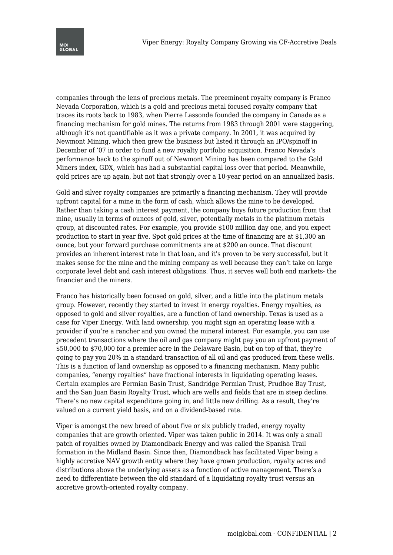companies through the lens of precious metals. The preeminent royalty company is Franco Nevada Corporation, which is a gold and precious metal focused royalty company that traces its roots back to 1983, when Pierre Lassonde founded the company in Canada as a financing mechanism for gold mines. The returns from 1983 through 2001 were staggering, although it's not quantifiable as it was a private company. In 2001, it was acquired by Newmont Mining, which then grew the business but listed it through an IPO/spinoff in December of '07 in order to fund a new royalty portfolio acquisition. Franco Nevada's performance back to the spinoff out of Newmont Mining has been compared to the Gold Miners index, GDX, which has had a substantial capital loss over that period. Meanwhile, gold prices are up again, but not that strongly over a 10-year period on an annualized basis.

Gold and silver royalty companies are primarily a financing mechanism. They will provide upfront capital for a mine in the form of cash, which allows the mine to be developed. Rather than taking a cash interest payment, the company buys future production from that mine, usually in terms of ounces of gold, silver, potentially metals in the platinum metals group, at discounted rates. For example, you provide \$100 million day one, and you expect production to start in year five. Spot gold prices at the time of financing are at \$1,300 an ounce, but your forward purchase commitments are at \$200 an ounce. That discount provides an inherent interest rate in that loan, and it's proven to be very successful, but it makes sense for the mine and the mining company as well because they can't take on large corporate level debt and cash interest obligations. Thus, it serves well both end markets- the financier and the miners.

Franco has historically been focused on gold, silver, and a little into the platinum metals group. However, recently they started to invest in energy royalties. Energy royalties, as opposed to gold and silver royalties, are a function of land ownership. Texas is used as a case for Viper Energy. With land ownership, you might sign an operating lease with a provider if you're a rancher and you owned the mineral interest. For example, you can use precedent transactions where the oil and gas company might pay you an upfront payment of \$50,000 to \$70,000 for a premier acre in the Delaware Basin, but on top of that, they're going to pay you 20% in a standard transaction of all oil and gas produced from these wells. This is a function of land ownership as opposed to a financing mechanism. Many public companies, "energy royalties" have fractional interests in liquidating operating leases. Certain examples are Permian Basin Trust, Sandridge Permian Trust, Prudhoe Bay Trust, and the San Juan Basin Royalty Trust, which are wells and fields that are in steep decline. There's no new capital expenditure going in, and little new drilling. As a result, they're valued on a current yield basis, and on a dividend-based rate.

Viper is amongst the new breed of about five or six publicly traded, energy royalty companies that are growth oriented. Viper was taken public in 2014. It was only a small patch of royalties owned by Diamondback Energy and was called the Spanish Trail formation in the Midland Basin. Since then, Diamondback has facilitated Viper being a highly accretive NAV growth entity where they have grown production, royalty acres and distributions above the underlying assets as a function of active management. There's a need to differentiate between the old standard of a liquidating royalty trust versus an accretive growth-oriented royalty company.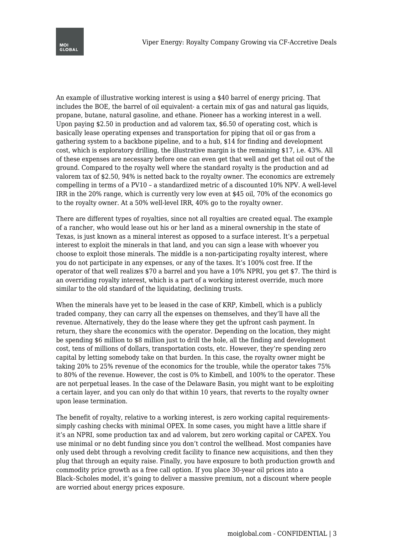An example of illustrative working interest is using a \$40 barrel of energy pricing. That includes the BOE, the barrel of oil equivalent- a certain mix of gas and natural gas liquids, propane, butane, natural gasoline, and ethane. Pioneer has a working interest in a well. Upon paying \$2.50 in production and ad valorem tax, \$6.50 of operating cost, which is basically lease operating expenses and transportation for piping that oil or gas from a gathering system to a backbone pipeline, and to a hub, \$14 for finding and development cost, which is exploratory drilling, the illustrative margin is the remaining \$17, i.e. 43%. All of these expenses are necessary before one can even get that well and get that oil out of the ground. Compared to the royalty well where the standard royalty is the production and ad valorem tax of \$2.50, 94% is netted back to the royalty owner. The economics are extremely compelling in terms of a PV10 – a standardized metric of a discounted 10% NPV. A well-level IRR in the 20% range, which is currently very low even at \$45 oil, 70% of the economics go to the royalty owner. At a 50% well-level IRR, 40% go to the royalty owner.

There are different types of royalties, since not all royalties are created equal. The example of a rancher, who would lease out his or her land as a mineral ownership in the state of Texas, is just known as a mineral interest as opposed to a surface interest. It's a perpetual interest to exploit the minerals in that land, and you can sign a lease with whoever you choose to exploit those minerals. The middle is a non-participating royalty interest, where you do not participate in any expenses, or any of the taxes. It's 100% cost free. If the operator of that well realizes \$70 a barrel and you have a 10% NPRI, you get \$7. The third is an overriding royalty interest, which is a part of a working interest override, much more similar to the old standard of the liquidating, declining trusts.

When the minerals have yet to be leased in the case of KRP, Kimbell, which is a publicly traded company, they can carry all the expenses on themselves, and they'll have all the revenue. Alternatively, they do the lease where they get the upfront cash payment. In return, they share the economics with the operator. Depending on the location, they might be spending \$6 million to \$8 million just to drill the hole, all the finding and development cost, tens of millions of dollars, transportation costs, etc. However, they're spending zero capital by letting somebody take on that burden. In this case, the royalty owner might be taking 20% to 25% revenue of the economics for the trouble, while the operator takes 75% to 80% of the revenue. However, the cost is 0% to Kimbell, and 100% to the operator. These are not perpetual leases. In the case of the Delaware Basin, you might want to be exploiting a certain layer, and you can only do that within 10 years, that reverts to the royalty owner upon lease termination.

The benefit of royalty, relative to a working interest, is zero working capital requirementssimply cashing checks with minimal OPEX. In some cases, you might have a little share if it's an NPRI, some production tax and ad valorem, but zero working capital or CAPEX. You use minimal or no debt funding since you don't control the wellhead. Most companies have only used debt through a revolving credit facility to finance new acquisitions, and then they plug that through an equity raise. Finally, you have exposure to both production growth and commodity price growth as a free call option. If you place 30-year oil prices into a Black–Scholes model, it's going to deliver a massive premium, not a discount where people are worried about energy prices exposure.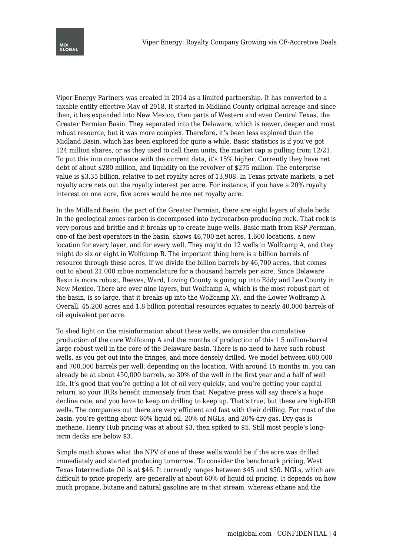Viper Energy Partners was created in 2014 as a limited partnership. It has converted to a taxable entity effective May of 2018. It started in Midland County original acreage and since then, it has expanded into New Mexico, then parts of Western and even Central Texas, the Greater Permian Basin. They separated into the Delaware, which is newer, deeper and most robust resource, but it was more complex. Therefore, it's been less explored than the Midland Basin, which has been explored for quite a while. Basic statistics is if you've got 124 million shares, or as they used to call them units, the market cap is pulling from 12/21. To put this into compliance with the current data, it's 15% higher. Currently they have net debt of about \$280 million, and liquidity on the revolver of \$275 million. The enterprise value is \$3.35 billion, relative to net royalty acres of 13,908. In Texas private markets, a net royalty acre nets out the royalty interest per acre. For instance, if you have a 20% royalty interest on one acre, five acres would be one net royalty acre.

In the Midland Basin, the part of the Greater Permian, there are eight layers of shale beds. In the geological zones carbon is decomposed into hydrocarbon-producing rock. That rock is very porous and brittle and it breaks up to create huge wells. Basic math from RSP Permian, one of the best operators in the basin, shows 46,700 net acres, 1,600 locations, a new location for every layer, and for every well. They might do 12 wells in Wolfcamp A, and they might do six or eight in Wolfcamp B. The important thing here is a billion barrels of resource through these acres. If we divide the billion barrels by 46,700 acres, that comes out to about 21,000 mboe nomenclature for a thousand barrels per acre. Since Delaware Basin is more robust, Reeves, Ward, Loving County is going up into Eddy and Lee County in New Mexico. There are over nine layers, but Wolfcamp A, which is the most robust part of the basin, is so large, that it breaks up into the Wolfcamp XY, and the Lower Wolfcamp A. Overall, 45,200 acres and 1.8 billion potential resources equates to nearly 40,000 barrels of oil equivalent per acre.

To shed light on the misinformation about these wells, we consider the cumulative production of the core Wolfcamp A and the months of production of this 1.5 million-barrel large robust well in the core of the Delaware basin. There is no need to have such robust wells, as you get out into the fringes, and more densely drilled. We model between 600,000 and 700,000 barrels per well, depending on the location. With around 15 months in, you can already be at about 450,000 barrels, so 30% of the well in the first year and a half of well life. It's good that you're getting a lot of oil very quickly, and you're getting your capital return, so your IRRs benefit immensely from that. Negative press will say there's a huge decline rate, and you have to keep on drilling to keep up. That's true, but these are high-IRR wells. The companies out there are very efficient and fast with their drilling. For most of the basin, you're getting about 60% liquid oil, 20% of NGLs, and 20% dry gas. Dry gas is methane. Henry Hub pricing was at about \$3, then spiked to \$5. Still most people's longterm decks are below \$3.

Simple math shows what the NPV of one of these wells would be if the acre was drilled immediately and started producing tomorrow. To consider the benchmark pricing, West Texas Intermediate Oil is at \$46. It currently ranges between \$45 and \$50. NGLs, which are difficult to price properly, are generally at about 60% of liquid oil pricing. It depends on how much propane, butane and natural gasoline are in that stream, whereas ethane and the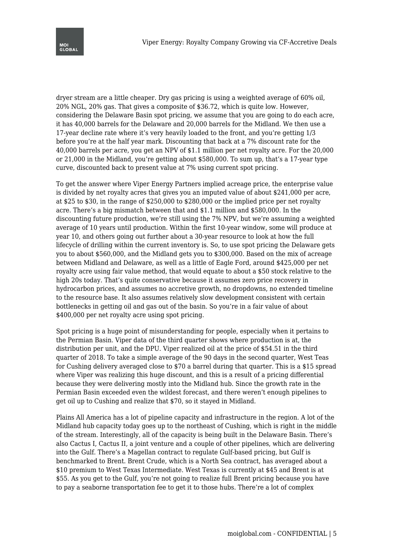dryer stream are a little cheaper. Dry gas pricing is using a weighted average of 60% oil, 20% NGL, 20% gas. That gives a composite of \$36.72, which is quite low. However, considering the Delaware Basin spot pricing, we assume that you are going to do each acre, it has 40,000 barrels for the Delaware and 20,000 barrels for the Midland. We then use a 17-year decline rate where it's very heavily loaded to the front, and you're getting 1/3 before you're at the half year mark. Discounting that back at a 7% discount rate for the 40,000 barrels per acre, you get an NPV of \$1.1 million per net royalty acre. For the 20,000 or 21,000 in the Midland, you're getting about \$580,000. To sum up, that's a 17-year type curve, discounted back to present value at 7% using current spot pricing.

To get the answer where Viper Energy Partners implied acreage price, the enterprise value is divided by net royalty acres that gives you an imputed value of about \$241,000 per acre, at \$25 to \$30, in the range of \$250,000 to \$280,000 or the implied price per net royalty acre. There's a big mismatch between that and \$1.1 million and \$580,000. In the discounting future production, we're still using the 7% NPV, but we're assuming a weighted average of 10 years until production. Within the first 10-year window, some will produce at year 10, and others going out further about a 30-year resource to look at how the full lifecycle of drilling within the current inventory is. So, to use spot pricing the Delaware gets you to about \$560,000, and the Midland gets you to \$300,000. Based on the mix of acreage between Midland and Delaware, as well as a little of Eagle Ford, around \$425,000 per net royalty acre using fair value method, that would equate to about a \$50 stock relative to the high 20s today. That's quite conservative because it assumes zero price recovery in hydrocarbon prices, and assumes no accretive growth, no dropdowns, no extended timeline to the resource base. It also assumes relatively slow development consistent with certain bottlenecks in getting oil and gas out of the basin. So you're in a fair value of about \$400,000 per net royalty acre using spot pricing.

Spot pricing is a huge point of misunderstanding for people, especially when it pertains to the Permian Basin. Viper data of the third quarter shows where production is at, the distribution per unit, and the DPU. Viper realized oil at the price of \$54.51 in the third quarter of 2018. To take a simple average of the 90 days in the second quarter, West Teas for Cushing delivery averaged close to \$70 a barrel during that quarter. This is a \$15 spread where Viper was realizing this huge discount, and this is a result of a pricing differential because they were delivering mostly into the Midland hub. Since the growth rate in the Permian Basin exceeded even the wildest forecast, and there weren't enough pipelines to get oil up to Cushing and realize that \$70, so it stayed in Midland.

Plains All America has a lot of pipeline capacity and infrastructure in the region. A lot of the Midland hub capacity today goes up to the northeast of Cushing, which is right in the middle of the stream. Interestingly, all of the capacity is being built in the Delaware Basin. There's also Cactus I, Cactus II, a joint venture and a couple of other pipelines, which are delivering into the Gulf. There's a Magellan contract to regulate Gulf-based pricing, but Gulf is benchmarked to Brent. Brent Crude, which is a North Sea contract, has averaged about a \$10 premium to West Texas Intermediate. West Texas is currently at \$45 and Brent is at \$55. As you get to the Gulf, you're not going to realize full Brent pricing because you have to pay a seaborne transportation fee to get it to those hubs. There're a lot of complex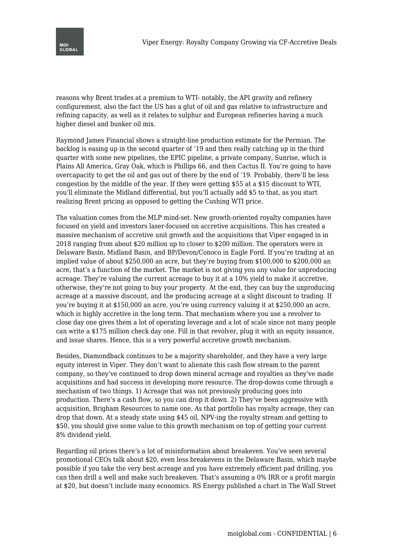

reasons why Brent trades at a premium to WTI- notably, the API gravity and refinery configurement, also the fact the US has a glut of oil and gas relative to infrastructure and refining capacity, as well as it relates to sulphur and European refineries having a much higher diesel and bunker oil mix.

Raymond James Financial shows a straight-line production estimate for the Permian. The backlog is easing up in the second quarter of '19 and then really catching up in the third quarter with some new pipelines, the EPIC pipeline, a private company, Sunrise, which is Plains All America, Gray Oak, which is Phillips 66, and then Cactus II. You're going to have overcapacity to get the oil and gas out of there by the end of '19. Probably, there'll be less congestion by the middle of the year. If they were getting \$55 at a \$15 discount to WTI, you'll eliminate the Midland differential, but you'll actually add \$5 to that, as you start realizing Brent pricing as opposed to getting the Cushing WTI price.

The valuation comes from the MLP mind-set. New growth-oriented royalty companies have focused on yield and investors laser-focused on accretive acquisitions. This has created a massive mechanism of accretive unit growth and the acquisitions that Viper engaged in in 2018 ranging from about \$20 million up to closer to \$200 million. The operators were in Delaware Basin, Midland Basin, and BP/Devon/Conoco in Eagle Ford. If you're trading at an implied value of about \$250,000 an acre, but they're buying from \$100,000 to \$200,000 an acre, that's a function of the market. The market is not giving you any value for unproducing acreage. They're valuing the current acreage to buy it at a 10% yield to make it accretive, otherwise, they're not going to buy your property. At the end, they can buy the unproducing acreage at a massive discount, and the producing acreage at a slight discount to trading. If you're buying it at \$150,000 an acre, you're using currency valuing it at \$250,000 an acre, which is highly accretive in the long term. That mechanism where you use a revolver to close day one gives them a lot of operating leverage and a lot of scale since not many people can write a \$175 million check day one. Fill in that revolver, plug it with an equity issuance, and issue shares. Hence, this is a very powerful accretive growth mechanism.

Besides, Diamondback continues to be a majority shareholder, and they have a very large equity interest in Viper. They don't want to alienate this cash flow stream to the parent company, so they've continued to drop down mineral acreage and royalties as they've made acquisitions and had success in developing more resource. The drop-downs come through a mechanism of two things. 1) Acreage that was not previously producing goes into production. There's a cash flow, so you can drop it down. 2) They've been aggressive with acquisition, Brigham Resources to name one. As that portfolio has royalty acreage, they can drop that down. At a steady state using \$45 oil, NPV-ing the royalty stream and getting to \$50, you should give some value to this growth mechanism on top of getting your current 8% dividend yield.

Regarding oil prices there's a lot of misinformation about breakeven. You've seen several promotional CEOs talk about \$20, even less breakevens in the Delaware Basin, which maybe possible if you take the very best acreage and you have extremely efficient pad drilling, you can then drill a well and make such breakeven. That's assuming a 0% IRR or a profit margin at \$20, but doesn't include many economics. RS Energy published a chart in The Wall Street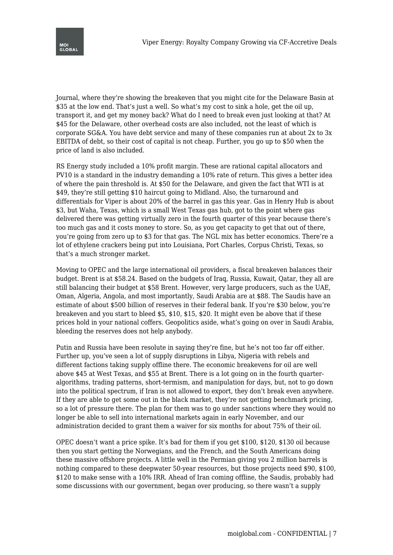

Journal, where they're showing the breakeven that you might cite for the Delaware Basin at \$35 at the low end. That's just a well. So what's my cost to sink a hole, get the oil up, transport it, and get my money back? What do I need to break even just looking at that? At \$45 for the Delaware, other overhead costs are also included, not the least of which is corporate SG&A. You have debt service and many of these companies run at about 2x to 3x EBITDA of debt, so their cost of capital is not cheap. Further, you go up to \$50 when the price of land is also included.

RS Energy study included a 10% profit margin. These are rational capital allocators and PV10 is a standard in the industry demanding a 10% rate of return. This gives a better idea of where the pain threshold is. At \$50 for the Delaware, and given the fact that WTI is at \$49, they're still getting \$10 haircut going to Midland. Also, the turnaround and differentials for Viper is about 20% of the barrel in gas this year. Gas in Henry Hub is about \$3, but Waha, Texas, which is a small West Texas gas hub, got to the point where gas delivered there was getting virtually zero in the fourth quarter of this year because there's too much gas and it costs money to store. So, as you get capacity to get that out of there, you're going from zero up to \$3 for that gas. The NGL mix has better economics. There're a lot of ethylene crackers being put into Louisiana, Port Charles, Corpus Christi, Texas, so that's a much stronger market.

Moving to OPEC and the large international oil providers, a fiscal breakeven balances their budget. Brent is at \$58.24. Based on the budgets of Iraq, Russia, Kuwait, Qatar, they all are still balancing their budget at \$58 Brent. However, very large producers, such as the UAE, Oman, Algeria, Angola, and most importantly, Saudi Arabia are at \$88. The Saudis have an estimate of about \$500 billion of reserves in their federal bank. If you're \$30 below, you're breakeven and you start to bleed \$5, \$10, \$15, \$20. It might even be above that if these prices hold in your national coffers. Geopolitics aside, what's going on over in Saudi Arabia, bleeding the reserves does not help anybody.

Putin and Russia have been resolute in saying they're fine, but he's not too far off either. Further up, you've seen a lot of supply disruptions in Libya, Nigeria with rebels and different factions taking supply offline there. The economic breakevens for oil are well above \$45 at West Texas, and \$55 at Brent. There is a lot going on in the fourth quarteralgorithms, trading patterns, short-termism, and manipulation for days, but, not to go down into the political spectrum, if Iran is not allowed to export, they don't break even anywhere. If they are able to get some out in the black market, they're not getting benchmark pricing, so a lot of pressure there. The plan for them was to go under sanctions where they would no longer be able to sell into international markets again in early November, and our administration decided to grant them a waiver for six months for about 75% of their oil.

OPEC doesn't want a price spike. It's bad for them if you get \$100, \$120, \$130 oil because then you start getting the Norwegians, and the French, and the South Americans doing these massive offshore projects. A little well in the Permian giving you 2 million barrels is nothing compared to these deepwater 50-year resources, but those projects need \$90, \$100, \$120 to make sense with a 10% IRR. Ahead of Iran coming offline, the Saudis, probably had some discussions with our government, began over producing, so there wasn't a supply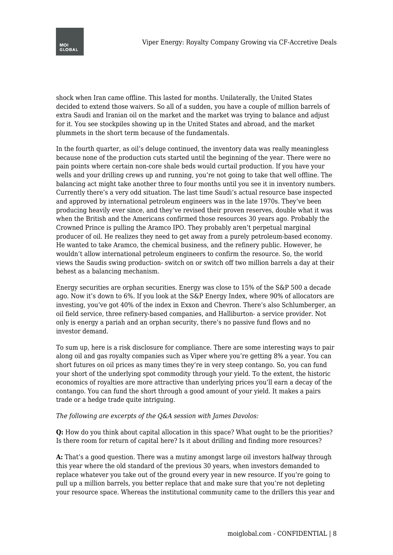

shock when Iran came offline. This lasted for months. Unilaterally, the United States decided to extend those waivers. So all of a sudden, you have a couple of million barrels of extra Saudi and Iranian oil on the market and the market was trying to balance and adjust for it. You see stockpiles showing up in the United States and abroad, and the market plummets in the short term because of the fundamentals.

In the fourth quarter, as oil's deluge continued, the inventory data was really meaningless because none of the production cuts started until the beginning of the year. There were no pain points where certain non-core shale beds would curtail production. If you have your wells and your drilling crews up and running, you're not going to take that well offline. The balancing act might take another three to four months until you see it in inventory numbers. Currently there's a very odd situation. The last time Saudi's actual resource base inspected and approved by international petroleum engineers was in the late 1970s. They've been producing heavily ever since, and they've revised their proven reserves, double what it was when the British and the Americans confirmed those resources 30 years ago. Probably the Crowned Prince is pulling the Aramco IPO. They probably aren't perpetual marginal producer of oil. He realizes they need to get away from a purely petroleum-based economy. He wanted to take Aramco, the chemical business, and the refinery public. However, he wouldn't allow international petroleum engineers to confirm the resource. So, the world views the Saudis swing production- switch on or switch off two million barrels a day at their behest as a balancing mechanism.

Energy securities are orphan securities. Energy was close to 15% of the S&P 500 a decade ago. Now it's down to 6%. If you look at the S&P Energy Index, where 90% of allocators are investing, you've got 40% of the index in Exxon and Chevron. There's also Schlumberger, an oil field service, three refinery-based companies, and Halliburton- a service provider. Not only is energy a pariah and an orphan security, there's no passive fund flows and no investor demand.

To sum up, here is a risk disclosure for compliance. There are some interesting ways to pair along oil and gas royalty companies such as Viper where you're getting 8% a year. You can short futures on oil prices as many times they're in very steep contango. So, you can fund your short of the underlying spot commodity through your yield. To the extent, the historic economics of royalties are more attractive than underlying prices you'll earn a decay of the contango. You can fund the short through a good amount of your yield. It makes a pairs trade or a hedge trade quite intriguing.

## *The following are excerpts of the Q&A session with James Davolos:*

**Q:** How do you think about capital allocation in this space? What ought to be the priorities? Is there room for return of capital here? Is it about drilling and finding more resources?

**A:** That's a good question. There was a mutiny amongst large oil investors halfway through this year where the old standard of the previous 30 years, when investors demanded to replace whatever you take out of the ground every year in new resource. If you're going to pull up a million barrels, you better replace that and make sure that you're not depleting your resource space. Whereas the institutional community came to the drillers this year and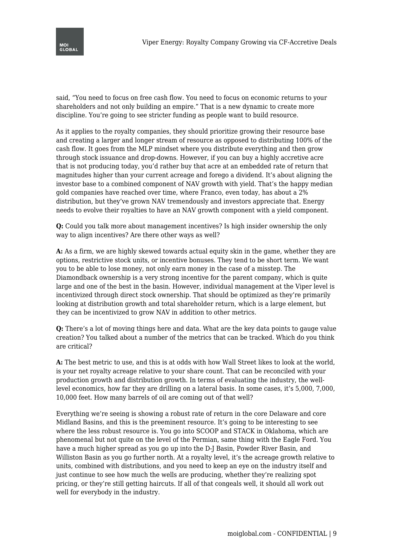

said, "You need to focus on free cash flow. You need to focus on economic returns to your shareholders and not only building an empire." That is a new dynamic to create more discipline. You're going to see stricter funding as people want to build resource.

As it applies to the royalty companies, they should prioritize growing their resource base and creating a larger and longer stream of resource as opposed to distributing 100% of the cash flow. It goes from the MLP mindset where you distribute everything and then grow through stock issuance and drop-downs. However, if you can buy a highly accretive acre that is not producing today, you'd rather buy that acre at an embedded rate of return that magnitudes higher than your current acreage and forego a dividend. It's about aligning the investor base to a combined component of NAV growth with yield. That's the happy median gold companies have reached over time, where Franco, even today, has about a 2% distribution, but they've grown NAV tremendously and investors appreciate that. Energy needs to evolve their royalties to have an NAV growth component with a yield component.

**Q:** Could you talk more about management incentives? Is high insider ownership the only way to align incentives? Are there other ways as well?

**A:** As a firm, we are highly skewed towards actual equity skin in the game, whether they are options, restrictive stock units, or incentive bonuses. They tend to be short term. We want you to be able to lose money, not only earn money in the case of a misstep. The Diamondback ownership is a very strong incentive for the parent company, which is quite large and one of the best in the basin. However, individual management at the Viper level is incentivized through direct stock ownership. That should be optimized as they're primarily looking at distribution growth and total shareholder return, which is a large element, but they can be incentivized to grow NAV in addition to other metrics.

**Q:** There's a lot of moving things here and data. What are the key data points to gauge value creation? You talked about a number of the metrics that can be tracked. Which do you think are critical?

**A:** The best metric to use, and this is at odds with how Wall Street likes to look at the world, is your net royalty acreage relative to your share count. That can be reconciled with your production growth and distribution growth. In terms of evaluating the industry, the welllevel economics, how far they are drilling on a lateral basis. In some cases, it's 5,000, 7,000, 10,000 feet. How many barrels of oil are coming out of that well?

Everything we're seeing is showing a robust rate of return in the core Delaware and core Midland Basins, and this is the preeminent resource. It's going to be interesting to see where the less robust resource is. You go into SCOOP and STACK in Oklahoma, which are phenomenal but not quite on the level of the Permian, same thing with the Eagle Ford. You have a much higher spread as you go up into the D-J Basin, Powder River Basin, and Williston Basin as you go further north. At a royalty level, it's the acreage growth relative to units, combined with distributions, and you need to keep an eye on the industry itself and just continue to see how much the wells are producing, whether they're realizing spot pricing, or they're still getting haircuts. If all of that congeals well, it should all work out well for everybody in the industry.